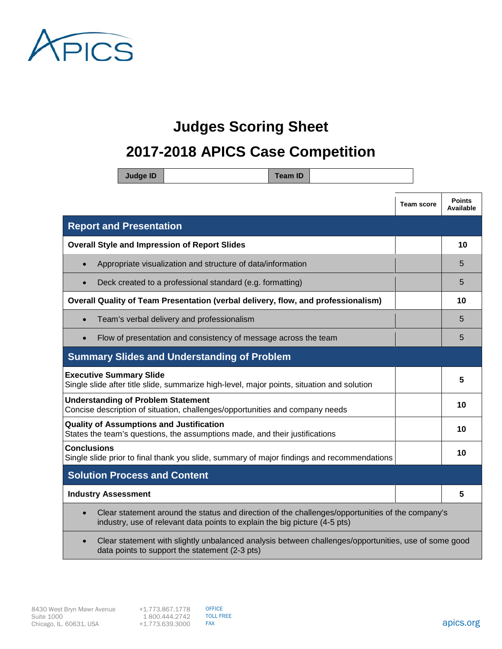

## **Judges Scoring Sheet**

## **2017-2018 APICS Case Competition**

|                                                                                                                                | <b>Judge ID</b> |                                                                                                                                                                                |  | <b>Team ID</b> |    |    |                   |                            |
|--------------------------------------------------------------------------------------------------------------------------------|-----------------|--------------------------------------------------------------------------------------------------------------------------------------------------------------------------------|--|----------------|----|----|-------------------|----------------------------|
|                                                                                                                                |                 |                                                                                                                                                                                |  |                |    |    | <b>Team score</b> | <b>Points</b><br>Available |
| <b>Report and Presentation</b>                                                                                                 |                 |                                                                                                                                                                                |  |                |    |    |                   |                            |
| <b>Overall Style and Impression of Report Slides</b>                                                                           |                 |                                                                                                                                                                                |  |                |    |    | 10                |                            |
| Appropriate visualization and structure of data/information                                                                    |                 |                                                                                                                                                                                |  |                |    | 5  |                   |                            |
| Deck created to a professional standard (e.g. formatting)<br>$\bullet$                                                         |                 |                                                                                                                                                                                |  |                |    | 5  |                   |                            |
| Overall Quality of Team Presentation (verbal delivery, flow, and professionalism)                                              |                 |                                                                                                                                                                                |  | 10             |    |    |                   |                            |
| Team's verbal delivery and professionalism                                                                                     |                 |                                                                                                                                                                                |  |                |    | 5  |                   |                            |
| Flow of presentation and consistency of message across the team                                                                |                 |                                                                                                                                                                                |  |                |    |    | 5                 |                            |
|                                                                                                                                |                 | <b>Summary Slides and Understanding of Problem</b>                                                                                                                             |  |                |    |    |                   |                            |
| <b>Executive Summary Slide</b><br>Single slide after title slide, summarize high-level, major points, situation and solution   |                 |                                                                                                                                                                                |  |                |    | 5  |                   |                            |
| <b>Understanding of Problem Statement</b><br>Concise description of situation, challenges/opportunities and company needs      |                 |                                                                                                                                                                                |  |                | 10 |    |                   |                            |
| <b>Quality of Assumptions and Justification</b><br>States the team's questions, the assumptions made, and their justifications |                 |                                                                                                                                                                                |  |                | 10 |    |                   |                            |
| <b>Conclusions</b><br>Single slide prior to final thank you slide, summary of major findings and recommendations               |                 |                                                                                                                                                                                |  |                |    | 10 |                   |                            |
| <b>Solution Process and Content</b>                                                                                            |                 |                                                                                                                                                                                |  |                |    |    |                   |                            |
| <b>Industry Assessment</b>                                                                                                     |                 |                                                                                                                                                                                |  |                |    |    |                   | 5                          |
|                                                                                                                                |                 | Clear statement around the status and direction of the challenges/opportunities of the company's<br>industry, use of relevant data points to explain the big picture (4-5 pts) |  |                |    |    |                   |                            |
|                                                                                                                                |                 | Clear statement with slightly unbalanced analysis between challenges/opportunities, use of some good                                                                           |  |                |    |    |                   |                            |

data points to support the statement (2-3 pts)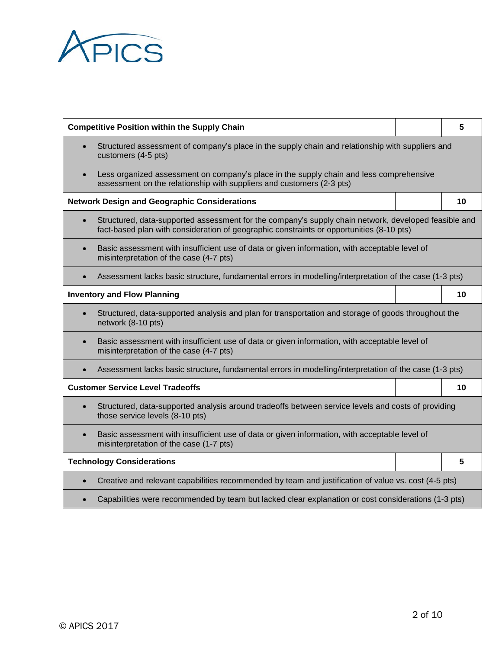

| <b>Competitive Position within the Supply Chain</b>                                                                                                   |                                                                                                                                                                                                  | 5 |    |  |  |  |
|-------------------------------------------------------------------------------------------------------------------------------------------------------|--------------------------------------------------------------------------------------------------------------------------------------------------------------------------------------------------|---|----|--|--|--|
|                                                                                                                                                       | Structured assessment of company's place in the supply chain and relationship with suppliers and<br>customers (4-5 pts)                                                                          |   |    |  |  |  |
|                                                                                                                                                       | Less organized assessment on company's place in the supply chain and less comprehensive<br>assessment on the relationship with suppliers and customers (2-3 pts)                                 |   |    |  |  |  |
|                                                                                                                                                       | <b>Network Design and Geographic Considerations</b>                                                                                                                                              |   | 10 |  |  |  |
|                                                                                                                                                       | Structured, data-supported assessment for the company's supply chain network, developed feasible and<br>fact-based plan with consideration of geographic constraints or opportunities (8-10 pts) |   |    |  |  |  |
| Basic assessment with insufficient use of data or given information, with acceptable level of<br>$\bullet$<br>misinterpretation of the case (4-7 pts) |                                                                                                                                                                                                  |   |    |  |  |  |
| Assessment lacks basic structure, fundamental errors in modelling/interpretation of the case (1-3 pts)                                                |                                                                                                                                                                                                  |   |    |  |  |  |
|                                                                                                                                                       | <b>Inventory and Flow Planning</b>                                                                                                                                                               |   | 10 |  |  |  |
|                                                                                                                                                       | Structured, data-supported analysis and plan for transportation and storage of goods throughout the<br>network (8-10 pts)                                                                        |   |    |  |  |  |
| $\bullet$                                                                                                                                             | Basic assessment with insufficient use of data or given information, with acceptable level of<br>misinterpretation of the case (4-7 pts)                                                         |   |    |  |  |  |
|                                                                                                                                                       | Assessment lacks basic structure, fundamental errors in modelling/interpretation of the case (1-3 pts)                                                                                           |   |    |  |  |  |
|                                                                                                                                                       | <b>Customer Service Level Tradeoffs</b>                                                                                                                                                          |   | 10 |  |  |  |
| Structured, data-supported analysis around tradeoffs between service levels and costs of providing<br>those service levels (8-10 pts)                 |                                                                                                                                                                                                  |   |    |  |  |  |
| Basic assessment with insufficient use of data or given information, with acceptable level of<br>misinterpretation of the case (1-7 pts)              |                                                                                                                                                                                                  |   |    |  |  |  |
| <b>Technology Considerations</b>                                                                                                                      |                                                                                                                                                                                                  |   | 5  |  |  |  |
|                                                                                                                                                       | Creative and relevant capabilities recommended by team and justification of value vs. cost (4-5 pts)                                                                                             |   |    |  |  |  |
|                                                                                                                                                       | Capabilities were recommended by team but lacked clear explanation or cost considerations (1-3 pts)                                                                                              |   |    |  |  |  |